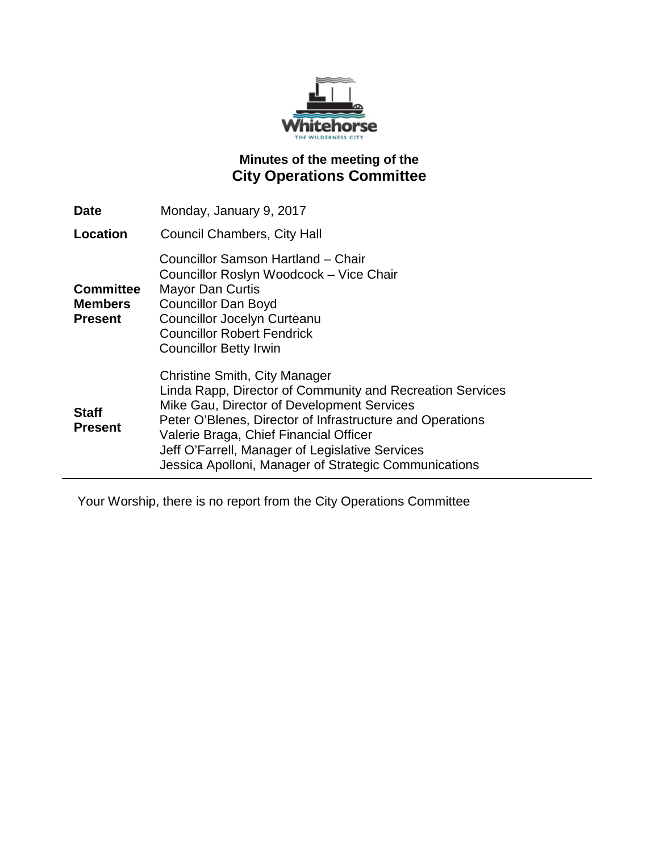

## **Minutes of the meeting of the City Operations Committee**

| Date                                                 | Monday, January 9, 2017                                                                                                                                                                                                                                                                                                                                            |
|------------------------------------------------------|--------------------------------------------------------------------------------------------------------------------------------------------------------------------------------------------------------------------------------------------------------------------------------------------------------------------------------------------------------------------|
| Location                                             | <b>Council Chambers, City Hall</b>                                                                                                                                                                                                                                                                                                                                 |
| <b>Committee</b><br><b>Members</b><br><b>Present</b> | Councillor Samson Hartland – Chair<br>Councillor Roslyn Woodcock - Vice Chair<br><b>Mayor Dan Curtis</b><br><b>Councillor Dan Boyd</b><br><b>Councillor Jocelyn Curteanu</b><br><b>Councillor Robert Fendrick</b><br><b>Councillor Betty Irwin</b>                                                                                                                 |
| <b>Staff</b><br><b>Present</b>                       | <b>Christine Smith, City Manager</b><br>Linda Rapp, Director of Community and Recreation Services<br>Mike Gau, Director of Development Services<br>Peter O'Blenes, Director of Infrastructure and Operations<br>Valerie Braga, Chief Financial Officer<br>Jeff O'Farrell, Manager of Legislative Services<br>Jessica Apolloni, Manager of Strategic Communications |

Your Worship, there is no report from the City Operations Committee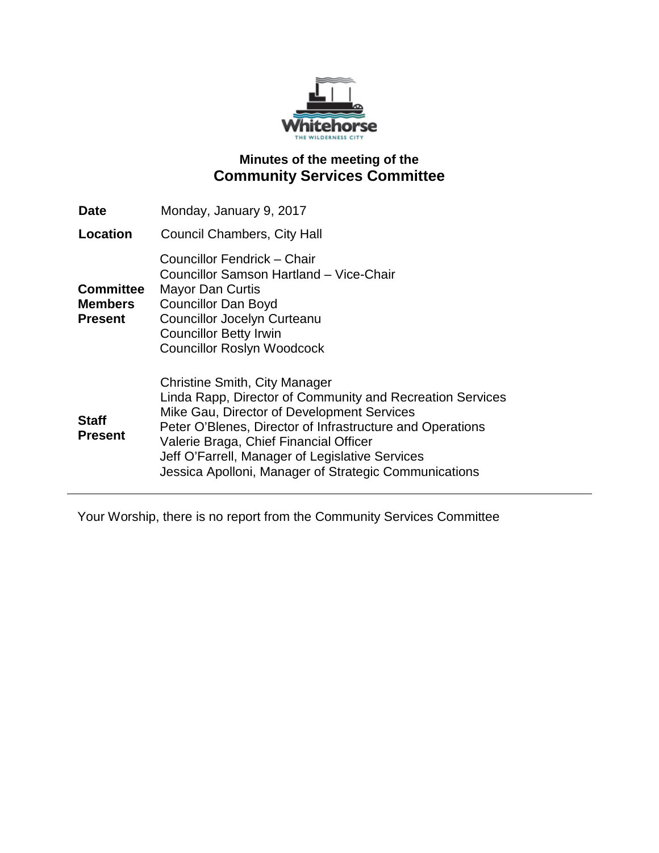

## **Minutes of the meeting of the Community Services Committee**

| <b>Date</b>                                          | Monday, January 9, 2017                                                                                                                                                                                                                                                                                                                                            |
|------------------------------------------------------|--------------------------------------------------------------------------------------------------------------------------------------------------------------------------------------------------------------------------------------------------------------------------------------------------------------------------------------------------------------------|
| <b>Location</b>                                      | Council Chambers, City Hall                                                                                                                                                                                                                                                                                                                                        |
| <b>Committee</b><br><b>Members</b><br><b>Present</b> | Councillor Fendrick – Chair<br>Councillor Samson Hartland - Vice-Chair<br><b>Mayor Dan Curtis</b><br><b>Councillor Dan Boyd</b><br><b>Councillor Jocelyn Curteanu</b><br><b>Councillor Betty Irwin</b><br><b>Councillor Roslyn Woodcock</b>                                                                                                                        |
| <b>Staff</b><br><b>Present</b>                       | <b>Christine Smith, City Manager</b><br>Linda Rapp, Director of Community and Recreation Services<br>Mike Gau, Director of Development Services<br>Peter O'Blenes, Director of Infrastructure and Operations<br>Valerie Braga, Chief Financial Officer<br>Jeff O'Farrell, Manager of Legislative Services<br>Jessica Apolloni, Manager of Strategic Communications |

Your Worship, there is no report from the Community Services Committee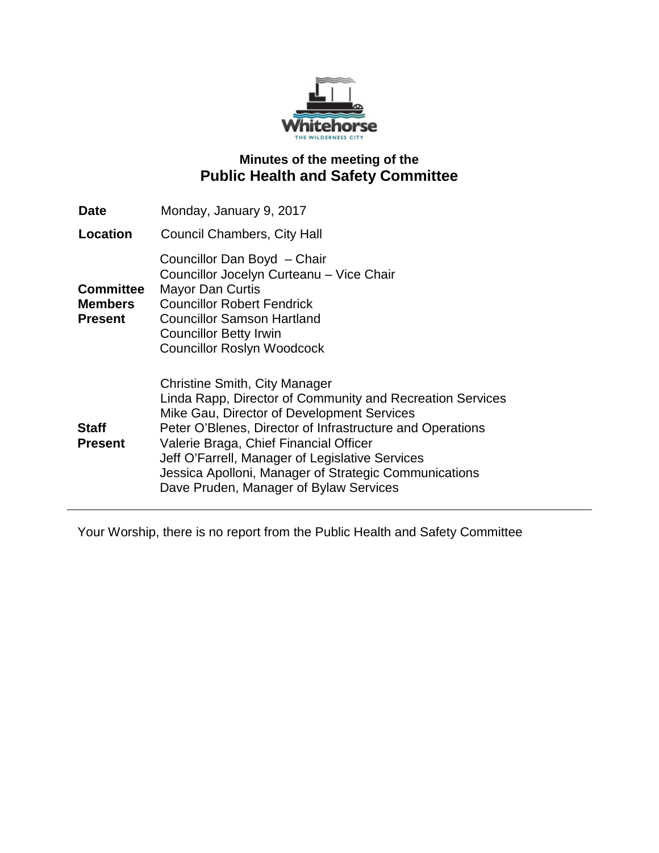

### **Minutes of the meeting of the Public Health and Safety Committee**

| Date                                                 | Monday, January 9, 2017                                                                                                                                                                                                                                                                                                                                                                               |
|------------------------------------------------------|-------------------------------------------------------------------------------------------------------------------------------------------------------------------------------------------------------------------------------------------------------------------------------------------------------------------------------------------------------------------------------------------------------|
| Location                                             | <b>Council Chambers, City Hall</b>                                                                                                                                                                                                                                                                                                                                                                    |
| <b>Committee</b><br><b>Members</b><br><b>Present</b> | Councillor Dan Boyd - Chair<br>Councillor Jocelyn Curteanu - Vice Chair<br><b>Mayor Dan Curtis</b><br><b>Councillor Robert Fendrick</b><br><b>Councillor Samson Hartland</b><br><b>Councillor Betty Irwin</b><br><b>Councillor Roslyn Woodcock</b>                                                                                                                                                    |
| <b>Staff</b><br><b>Present</b>                       | Christine Smith, City Manager<br>Linda Rapp, Director of Community and Recreation Services<br>Mike Gau, Director of Development Services<br>Peter O'Blenes, Director of Infrastructure and Operations<br>Valerie Braga, Chief Financial Officer<br>Jeff O'Farrell, Manager of Legislative Services<br>Jessica Apolloni, Manager of Strategic Communications<br>Dave Pruden, Manager of Bylaw Services |

Your Worship, there is no report from the Public Health and Safety Committee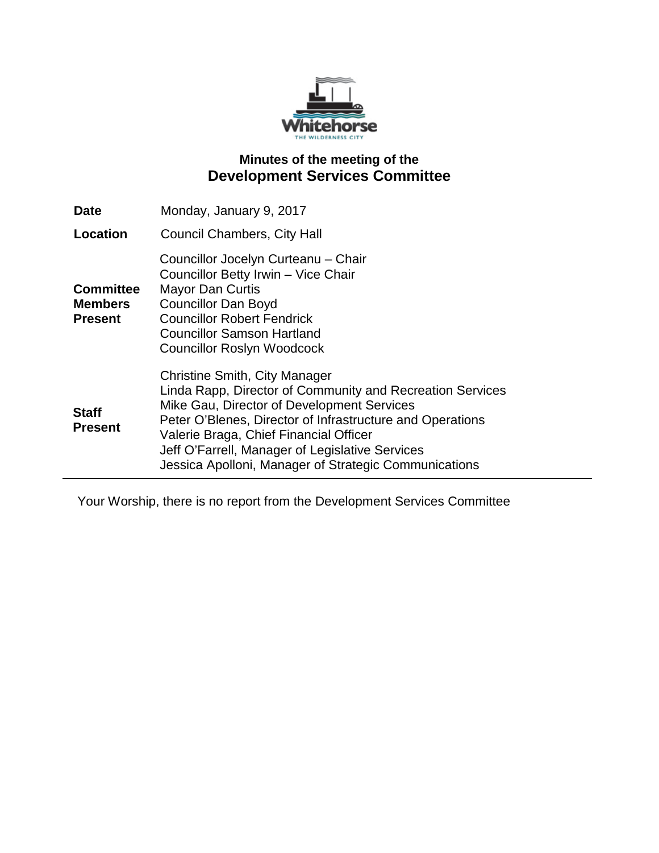

# **Minutes of the meeting of the Development Services Committee**

| <b>Date</b>                                          | Monday, January 9, 2017                                                                                                                                                                                                                                                                                                                                     |
|------------------------------------------------------|-------------------------------------------------------------------------------------------------------------------------------------------------------------------------------------------------------------------------------------------------------------------------------------------------------------------------------------------------------------|
| Location                                             | Council Chambers, City Hall                                                                                                                                                                                                                                                                                                                                 |
| <b>Committee</b><br><b>Members</b><br><b>Present</b> | Councillor Jocelyn Curteanu - Chair<br>Councillor Betty Irwin - Vice Chair<br><b>Mayor Dan Curtis</b><br><b>Councillor Dan Boyd</b><br><b>Councillor Robert Fendrick</b><br><b>Councillor Samson Hartland</b><br><b>Councillor Roslyn Woodcock</b>                                                                                                          |
| <b>Staff</b><br><b>Present</b>                       | Christine Smith, City Manager<br>Linda Rapp, Director of Community and Recreation Services<br>Mike Gau, Director of Development Services<br>Peter O'Blenes, Director of Infrastructure and Operations<br>Valerie Braga, Chief Financial Officer<br>Jeff O'Farrell, Manager of Legislative Services<br>Jessica Apolloni, Manager of Strategic Communications |

Your Worship, there is no report from the Development Services Committee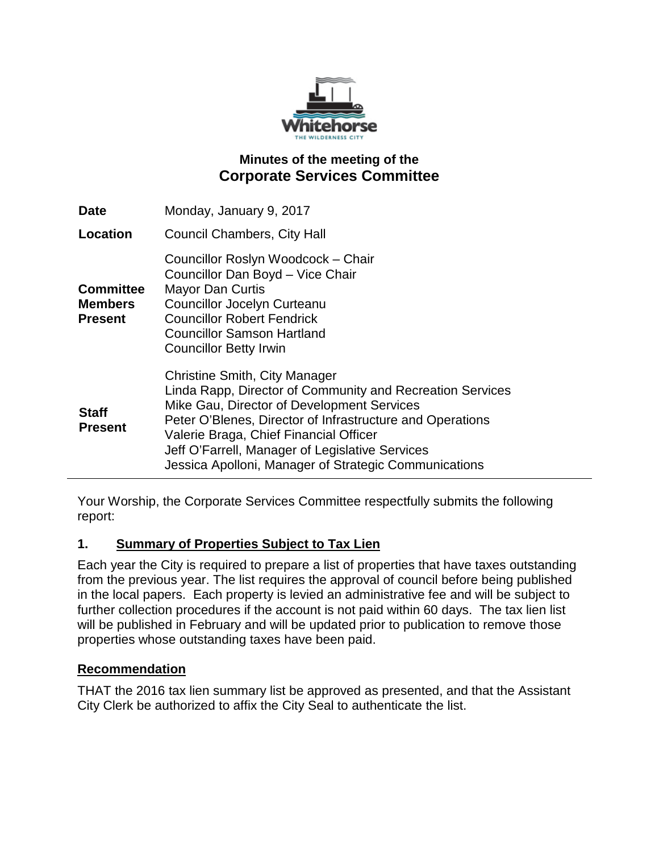

## **Minutes of the meeting of the Corporate Services Committee**

| Date                                                 | Monday, January 9, 2017                                                                                                                                                                                                                                                                                                                                            |
|------------------------------------------------------|--------------------------------------------------------------------------------------------------------------------------------------------------------------------------------------------------------------------------------------------------------------------------------------------------------------------------------------------------------------------|
| Location                                             | <b>Council Chambers, City Hall</b>                                                                                                                                                                                                                                                                                                                                 |
| <b>Committee</b><br><b>Members</b><br><b>Present</b> | Councillor Roslyn Woodcock - Chair<br>Councillor Dan Boyd - Vice Chair<br><b>Mayor Dan Curtis</b><br><b>Councillor Jocelyn Curteanu</b><br><b>Councillor Robert Fendrick</b><br><b>Councillor Samson Hartland</b><br><b>Councillor Betty Irwin</b>                                                                                                                 |
| <b>Staff</b><br><b>Present</b>                       | <b>Christine Smith, City Manager</b><br>Linda Rapp, Director of Community and Recreation Services<br>Mike Gau, Director of Development Services<br>Peter O'Blenes, Director of Infrastructure and Operations<br>Valerie Braga, Chief Financial Officer<br>Jeff O'Farrell, Manager of Legislative Services<br>Jessica Apolloni, Manager of Strategic Communications |

Your Worship, the Corporate Services Committee respectfully submits the following report:

### **1. Summary of Properties Subject to Tax Lien**

Each year the City is required to prepare a list of properties that have taxes outstanding from the previous year. The list requires the approval of council before being published in the local papers. Each property is levied an administrative fee and will be subject to further collection procedures if the account is not paid within 60 days. The tax lien list will be published in February and will be updated prior to publication to remove those properties whose outstanding taxes have been paid.

#### **Recommendation**

THAT the 2016 tax lien summary list be approved as presented, and that the Assistant City Clerk be authorized to affix the City Seal to authenticate the list.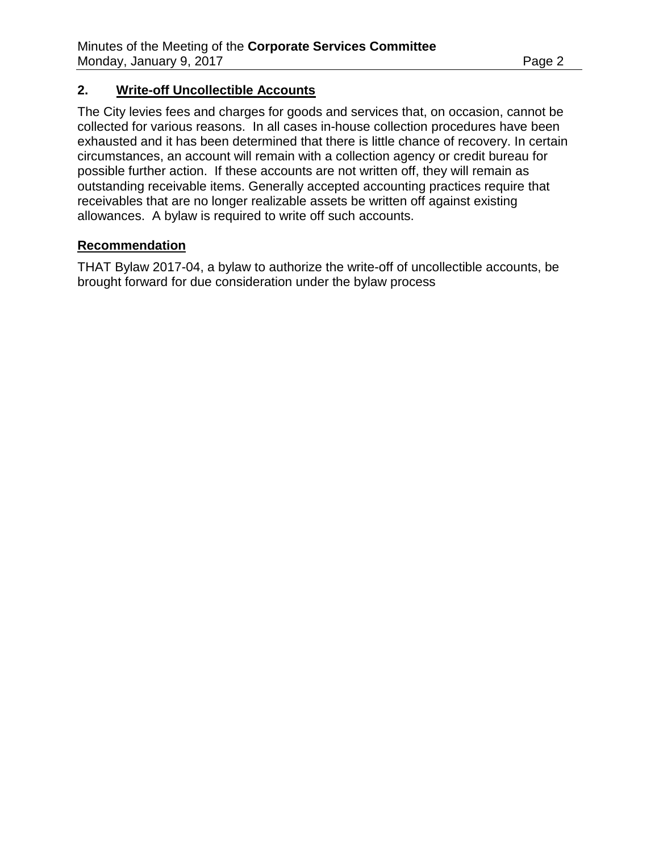#### **2. Write-off Uncollectible Accounts**

The City levies fees and charges for goods and services that, on occasion, cannot be collected for various reasons. In all cases in-house collection procedures have been exhausted and it has been determined that there is little chance of recovery. In certain circumstances, an account will remain with a collection agency or credit bureau for possible further action. If these accounts are not written off, they will remain as outstanding receivable items. Generally accepted accounting practices require that receivables that are no longer realizable assets be written off against existing allowances. A bylaw is required to write off such accounts.

#### **Recommendation**

THAT Bylaw 2017-04, a bylaw to authorize the write-off of uncollectible accounts, be brought forward for due consideration under the bylaw process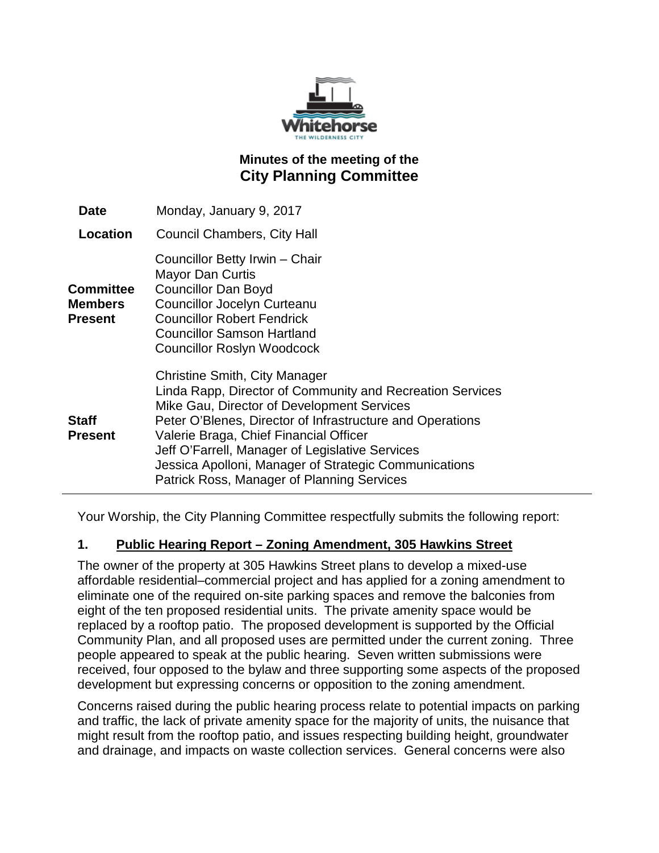

## **Minutes of the meeting of the City Planning Committee**

| <b>Date</b>                            | Monday, January 9, 2017                                                                                                                                                                                                                                                                                                                                                                                          |
|----------------------------------------|------------------------------------------------------------------------------------------------------------------------------------------------------------------------------------------------------------------------------------------------------------------------------------------------------------------------------------------------------------------------------------------------------------------|
| Location                               | <b>Council Chambers, City Hall</b>                                                                                                                                                                                                                                                                                                                                                                               |
| <b>Committee</b><br>Members<br>Present | Councillor Betty Irwin - Chair<br><b>Mayor Dan Curtis</b><br><b>Councillor Dan Boyd</b><br><b>Councillor Jocelyn Curteanu</b><br><b>Councillor Robert Fendrick</b><br><b>Councillor Samson Hartland</b><br><b>Councillor Roslyn Woodcock</b>                                                                                                                                                                     |
| Staff<br>Present                       | <b>Christine Smith, City Manager</b><br>Linda Rapp, Director of Community and Recreation Services<br>Mike Gau, Director of Development Services<br>Peter O'Blenes, Director of Infrastructure and Operations<br>Valerie Braga, Chief Financial Officer<br>Jeff O'Farrell, Manager of Legislative Services<br>Jessica Apolloni, Manager of Strategic Communications<br>Patrick Ross, Manager of Planning Services |

Your Worship, the City Planning Committee respectfully submits the following report:

### **1. Public Hearing Report – Zoning Amendment, 305 Hawkins Street**

The owner of the property at 305 Hawkins Street plans to develop a mixed-use affordable residential–commercial project and has applied for a zoning amendment to eliminate one of the required on-site parking spaces and remove the balconies from eight of the ten proposed residential units. The private amenity space would be replaced by a rooftop patio. The proposed development is supported by the Official Community Plan, and all proposed uses are permitted under the current zoning. Three people appeared to speak at the public hearing. Seven written submissions were received, four opposed to the bylaw and three supporting some aspects of the proposed development but expressing concerns or opposition to the zoning amendment.

Concerns raised during the public hearing process relate to potential impacts on parking and traffic, the lack of private amenity space for the majority of units, the nuisance that might result from the rooftop patio, and issues respecting building height, groundwater and drainage, and impacts on waste collection services. General concerns were also